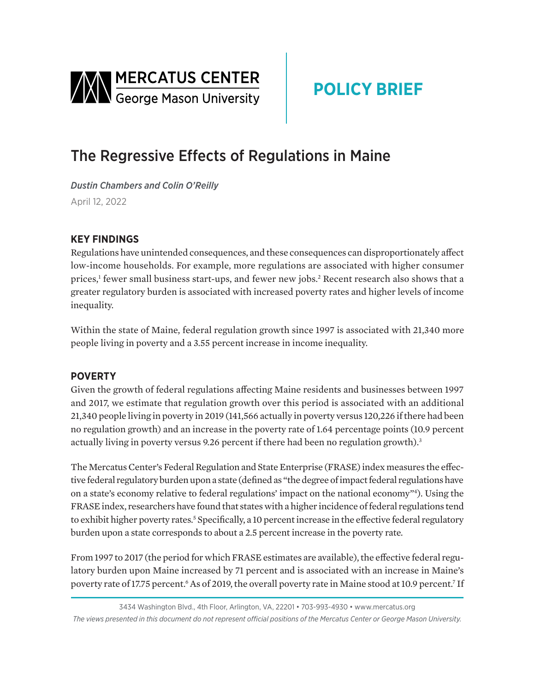<span id="page-0-0"></span>

# **POLICY BRIEF**

## The Regressive Effects of Regulations in Maine

*Dustin Chambers and Colin O'Reilly*  April 12, 2022

### **KEY FINDINGS**

Regulations have unintended consequences, and these consequences can disproportionately affect low-income households. For example, more regulations are associated with higher consumer prices,<sup>[1](#page-2-0)</sup> fewer small business start-ups, and fewer new jobs.<sup>[2](#page-2-0)</sup> Recent research also shows that a greater regulatory burden is associated with increased poverty rates and higher levels of income inequality.

Within the state of Maine, federal regulation growth since 1997 is associated with 21,340 more people living in poverty and a 3.55 percent increase in income inequality.

#### **POVERTY**

Given the growth of federal regulations affecting Maine residents and businesses between 1997 and 2017, we estimate that regulation growth over this period is associated with an additional 21,340 people living in poverty in 2019 (141,566 actually in poverty versus 120,226 if there had been no regulation growth) and an increase in the poverty rate of 1.64 percentage points (10.9 percent actually living in poverty versus 9.26 percent if there had been no regulation growth).<sup>[3](#page-2-0)</sup>

The Mercatus Center's Federal Regulation and State Enterprise (FRASE) index measures the effective federal regulatory burden upon a state (defined as "the degree of impact federal regulations have on a state's economy relative to federal regulations' impact on the national economy["4](#page-2-0) ). Using the FRASE index, researchers have found that states with a higher incidence of federal regulations tend to exhibit higher poverty rates.<sup>5</sup> Specifically, a 10 percent increase in the effective federal regulatory burden upon a state corresponds to about a 2.5 percent increase in the poverty rate.

From 1997 to 2017 (the period for which FRASE estimates are available), the effective federal regulatory burden upon Maine increased by 71 percent and is associated with an increase in Maine's poverty rate of 17[.7](#page-2-0)5 percent.<sup>6</sup> As of 2019, the overall poverty rate in Maine stood at 10.9 percent.<sup>7</sup> If

3434 Washington Blvd., 4th Floor, Arlington, VA, 22201 • 703-993-4930 • www.mercatus.org *The views presented in this document do not represent official positions of the Mercatus Center or George Mason University.*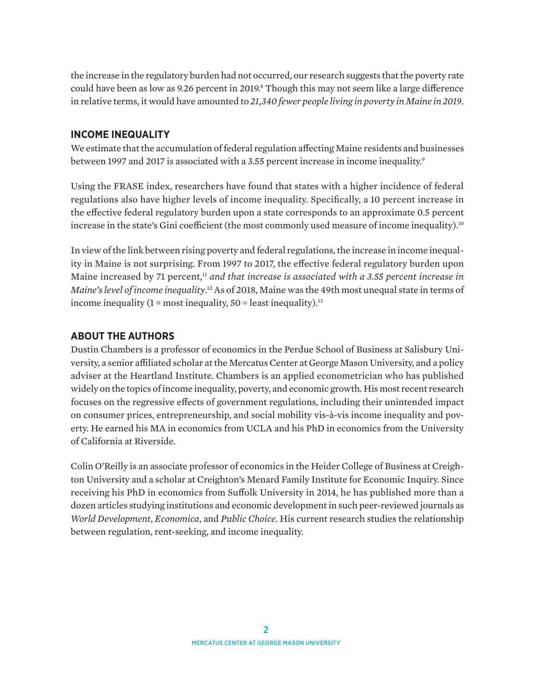<span id="page-1-0"></span>the increase in the regulatory burden had not occurred, our research suggests that the poverty rate could have been as low as 9.26 percent in 2019.<sup>8</sup> Though this may not seem like a large difference in relative terms, it would have amounted to *21,340 fewer people living in poverty in Maine in 2019*.

#### **INCOME INEQUALITY**

We estimate that the accumulation of federal regulation affecting Maine residents and businesses between 1997 and 2017 is associated with a 3.55 percent increase in income inequality.<sup>9</sup>

Using the FRASE index, researchers have found that states with a higher incidence of federal regulations also have higher levels of income inequality. Specifically, a 10 percent increase in the effective federal regulatory burden upon a state corresponds to an approximate 0.5 percent increase in the state's Gini coefficient (the most commonly used measure of income inequality).<sup>[10](#page-2-0)</sup>

In view of the link between rising poverty and federal regulations, the increase in income inequality in Maine is not surprising. From 1997 to 2017, the effective federal regulatory burden upon Maine increased by 71 percent,<sup>[11](#page-2-0)</sup> and that increase is associated with a 3.55 percent increase in *Maine's level of income inequality*. [12](#page-2-0) As of 2018, Maine was the 49th most unequal state in terms of income inequality  $(1 = \text{most inequality}, 50 = \text{least inequality})$ .<sup>[13](#page-2-0)</sup>

#### **ABOUT THE AUTHORS**

Dustin Chambers is a professor of economics in the Perdue School of Business at Salisbury University, a senior affiliated scholar at the Mercatus Center at George Mason University, and a policy adviser at the Heartland Institute. Chambers is an applied econometrician who has published widely on the topics of income inequality, poverty, and economic growth. His most recent research focuses on the regressive effects of government regulations, including their unintended impact on consumer prices, entrepreneurship, and social mobility vis-à-vis income inequality and poverty. He earned his MA in economics from UCLA and his PhD in economics from the University of California at Riverside.

Colin O'Reilly is an associate professor of economics in the Heider College of Business at Creighton University and a scholar at Creighton's Menard Family Institute for Economic Inquiry. Since receiving his PhD in economics from Suffolk University in 2014, he has published more than a dozen articles studying institutions and economic development in such peer-reviewed journals as *World Development*, *Economica*, and *Public Choice*. His current research studies the relationship between regulation, rent-seeking, and income inequality.